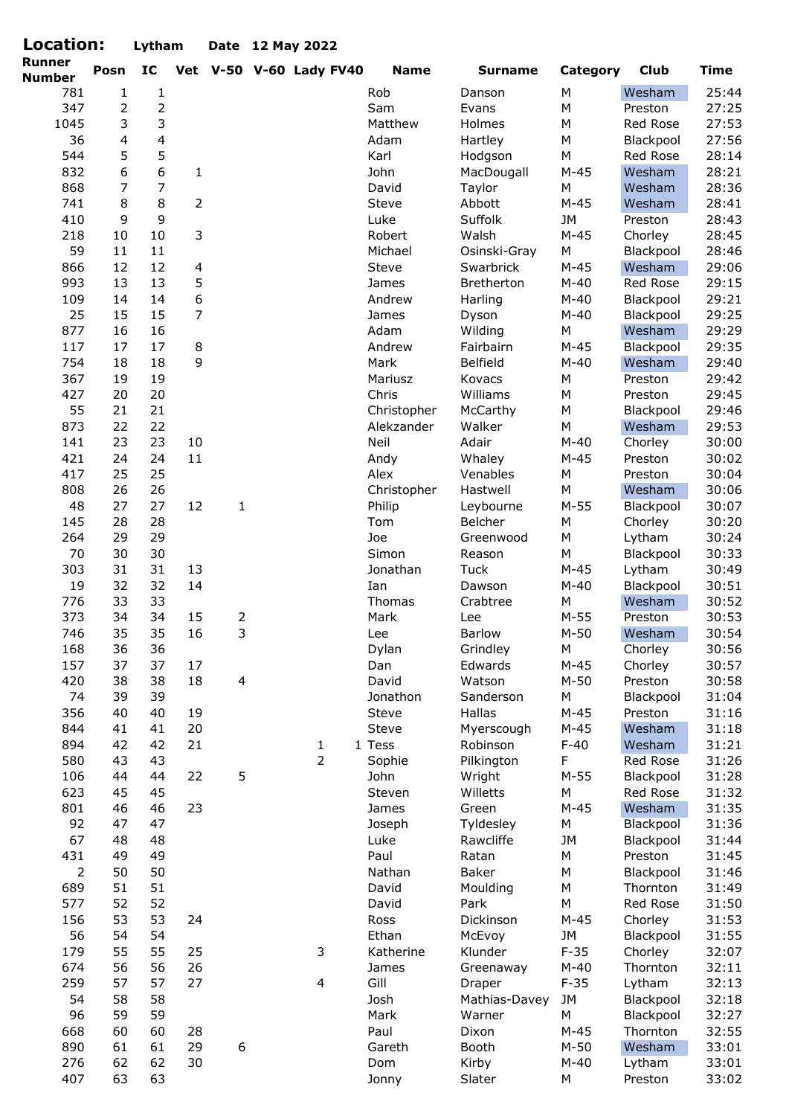| Location:               |                | Lytham         |                |                  | Date 12 May 2022        |             |                       |           |             |             |
|-------------------------|----------------|----------------|----------------|------------------|-------------------------|-------------|-----------------------|-----------|-------------|-------------|
| Runner<br><b>Number</b> | Posn           | IC             |                |                  | Vet V-50 V-60 Lady FV40 | <b>Name</b> | <b>Surname</b>        | Category  | <b>Club</b> | <b>Time</b> |
| 781                     | $\mathbf{1}$   | $\mathbf{1}$   |                |                  |                         | Rob         | Danson                | М         | Wesham      | 25:44       |
| 347                     | $\overline{2}$ | $\overline{2}$ |                |                  |                         | Sam         | Evans                 | M         | Preston     | 27:25       |
| 1045                    | 3              | 3              |                |                  |                         | Matthew     | Holmes                | M         | Red Rose    | 27:53       |
| 36                      | $\overline{4}$ | $\overline{4}$ |                |                  |                         | Adam        | Hartley               | M         | Blackpool   | 27:56       |
| 544                     | 5              | 5              |                |                  |                         | Karl        | Hodgson               | M         | Red Rose    | 28:14       |
| 832                     | 6              | 6              | 1              |                  |                         | John        | MacDougall            | $M-45$    | Wesham      | 28:21       |
| 868                     | $\overline{7}$ | $\overline{7}$ |                |                  |                         | David       | Taylor                | М         | Wesham      | 28:36       |
| 741                     | 8              | 8              | $\overline{2}$ |                  |                         | Steve       | Abbott                | $M-45$    | Wesham      | 28:41       |
| 410                     | 9              | 9              |                |                  |                         | Luke        | Suffolk               | <b>JM</b> | Preston     | 28:43       |
| 218                     | 10             | 10             | 3              |                  |                         | Robert      | Walsh                 | $M-45$    | Chorley     | 28:45       |
| 59                      | 11             | 11             |                |                  |                         | Michael     | Osinski-Gray          | M         | Blackpool   | 28:46       |
| 866                     | 12             | 12             | $\overline{4}$ |                  |                         | Steve       | Swarbrick             | $M-45$    | Wesham      | 29:06       |
| 993                     | 13             | 13             | 5              |                  |                         | James       | Bretherton            | $M-40$    | Red Rose    | 29:15       |
| 109                     | 14             | 14             | 6              |                  |                         | Andrew      | Harling               | $M-40$    | Blackpool   | 29:21       |
| 25                      | 15             | 15             | $\overline{7}$ |                  |                         | James       | Dyson                 | $M-40$    | Blackpool   | 29:25       |
| 877                     | 16             | 16             |                |                  |                         | Adam        | Wilding               | M         | Wesham      | 29:29       |
| 117                     | 17             | 17             | 8              |                  |                         | Andrew      | Fairbairn             | $M-45$    | Blackpool   | 29:35       |
| 754                     | 18             | 18             | 9              |                  |                         | Mark        | Belfield              | $M-40$    | Wesham      | 29:40       |
| 367                     | 19             | 19             |                |                  |                         | Mariusz     | Kovacs                | М         | Preston     | 29:42       |
| 427                     | 20             | 20             |                |                  |                         | Chris       | Williams              | M         | Preston     | 29:45       |
| 55                      | 21             | 21             |                |                  |                         | Christopher | McCarthy              | М         | Blackpool   | 29:46       |
| 873                     | 22             | 22             |                |                  |                         | Alekzander  | Walker                | M         | Wesham      | 29:53       |
| 141                     | 23             | 23             | 10             |                  |                         | Neil        | Adair                 | $M-40$    | Chorley     | 30:00       |
| 421                     | 24             | 24             | 11             |                  |                         | Andy        | Whaley                | $M-45$    | Preston     | 30:02       |
| 417                     | 25             | 25             |                |                  |                         | Alex        | Venables              | M         | Preston     | 30:04       |
| 808                     | 26             | 26             |                |                  |                         | Christopher | Hastwell              | M         | Wesham      | 30:06       |
| 48                      | 27             | 27             | 12             | $\mathbf{1}$     |                         | Philip      | Leybourne             | $M-55$    | Blackpool   | 30:07       |
| 145                     | 28             | 28             |                |                  |                         | Tom         | Belcher               | M         | Chorley     | 30:20       |
| 264                     | 29             | 29             |                |                  |                         | Joe         | Greenwood             | M         | Lytham      | 30:24       |
| 70                      | 30             | 30             |                |                  |                         | Simon       |                       | M         |             | 30:33       |
| 303                     | 31             | 31             | 13             |                  |                         | Jonathan    | Reason<br><b>Tuck</b> | $M-45$    | Blackpool   |             |
|                         |                |                |                |                  |                         |             |                       |           | Lytham      | 30:49       |
| 19                      | 32             | 32             | 14             |                  |                         | Ian         | Dawson                | $M-40$    | Blackpool   | 30:51       |
| 776                     | 33             | 33             |                |                  |                         | Thomas      | Crabtree              | M         | Wesham      | 30:52       |
| 373                     | 34             | 34             | 15             | $\overline{2}$   |                         | Mark        | Lee                   | $M-55$    | Preston     | 30:53       |
| 746                     | 35             | 35             | 16             | 3                |                         | Lee         | <b>Barlow</b>         | $M-50$    | Wesham      | 30:54       |
| 168                     | 36             | 36             |                |                  |                         | Dylan       | Grindley              | М         | Chorley     | 30:56       |
| 157                     | 37             | 37             | 17             |                  |                         | Dan         | Edwards               | $M-45$    | Chorley     | 30:57       |
| 420                     | 38             | 38             | 18             | $\overline{4}$   |                         | David       | Watson                | $M-50$    | Preston     | 30:58       |
| 74                      | 39             | 39             |                |                  |                         | Jonathon    | Sanderson             | М         | Blackpool   | 31:04       |
| 356                     | 40             | 40             | 19             |                  |                         | Steve       | Hallas                | $M-45$    | Preston     | 31:16       |
| 844                     | 41             | 41             | 20             |                  |                         | Steve       | Myerscough            | $M-45$    | Wesham      | 31:18       |
| 894                     | 42             | 42             | 21             |                  | $\mathbf{1}$            | 1 Tess      | Robinson              | $F-40$    | Wesham      | 31:21       |
| 580                     | 43             | 43             |                |                  | $\overline{2}$          | Sophie      | Pilkington            | F         | Red Rose    | 31:26       |
| 106                     | 44             | 44             | 22             | 5                |                         | John        | Wright                | $M-55$    | Blackpool   | 31:28       |
| 623                     | 45             | 45             |                |                  |                         | Steven      | Willetts              | М         | Red Rose    | 31:32       |
| 801                     | 46             | 46             | 23             |                  |                         | James       | Green                 | $M-45$    | Wesham      | 31:35       |
| 92                      | 47             | 47             |                |                  |                         | Joseph      | Tyldesley             | М         | Blackpool   | 31:36       |
| 67                      | 48             | 48             |                |                  |                         | Luke        | Rawcliffe             | JM        | Blackpool   | 31:44       |
| 431                     | 49             | 49             |                |                  |                         | Paul        | Ratan                 | М         | Preston     | 31:45       |
| $\overline{2}$          | 50             | 50             |                |                  |                         | Nathan      | Baker                 | M         | Blackpool   | 31:46       |
| 689                     | 51             | 51             |                |                  |                         | David       | Moulding              | M         | Thornton    | 31:49       |
| 577                     | 52             | 52             |                |                  |                         | David       | Park                  | М         | Red Rose    | 31:50       |
| 156                     | 53             | 53             | 24             |                  |                         | Ross        | Dickinson             | $M-45$    | Chorley     | 31:53       |
| 56                      | 54             | 54             |                |                  |                         | Ethan       | McEvoy                | JM        | Blackpool   | 31:55       |
| 179                     | 55             | 55             | 25             |                  | 3                       | Katherine   | Klunder               | $F-35$    | Chorley     | 32:07       |
| 674                     | 56             | 56             | 26             |                  |                         | James       | Greenaway             | $M-40$    | Thornton    | 32:11       |
| 259                     | 57             | 57             | 27             |                  | $\overline{4}$          | Gill        | Draper                | $F-35$    | Lytham      | 32:13       |
| 54                      | 58             | 58             |                |                  |                         | Josh        | Mathias-Davey         | JM        | Blackpool   | 32:18       |
| 96                      | 59             | 59             |                |                  |                         | Mark        | Warner                | М         | Blackpool   | 32:27       |
| 668                     | 60             | 60             | 28             |                  |                         | Paul        | Dixon                 | $M-45$    | Thornton    | 32:55       |
| 890                     | 61             | 61             | 29             | $\boldsymbol{6}$ |                         | Gareth      | Booth                 | $M-50$    | Wesham      | 33:01       |
| 276                     | 62             | 62             | 30             |                  |                         | Dom         | Kirby                 | $M-40$    | Lytham      | 33:01       |
| 407                     | 63             | 63             |                |                  |                         | Jonny       | Slater                | М         | Preston     | 33:02       |
|                         |                |                |                |                  |                         |             |                       |           |             |             |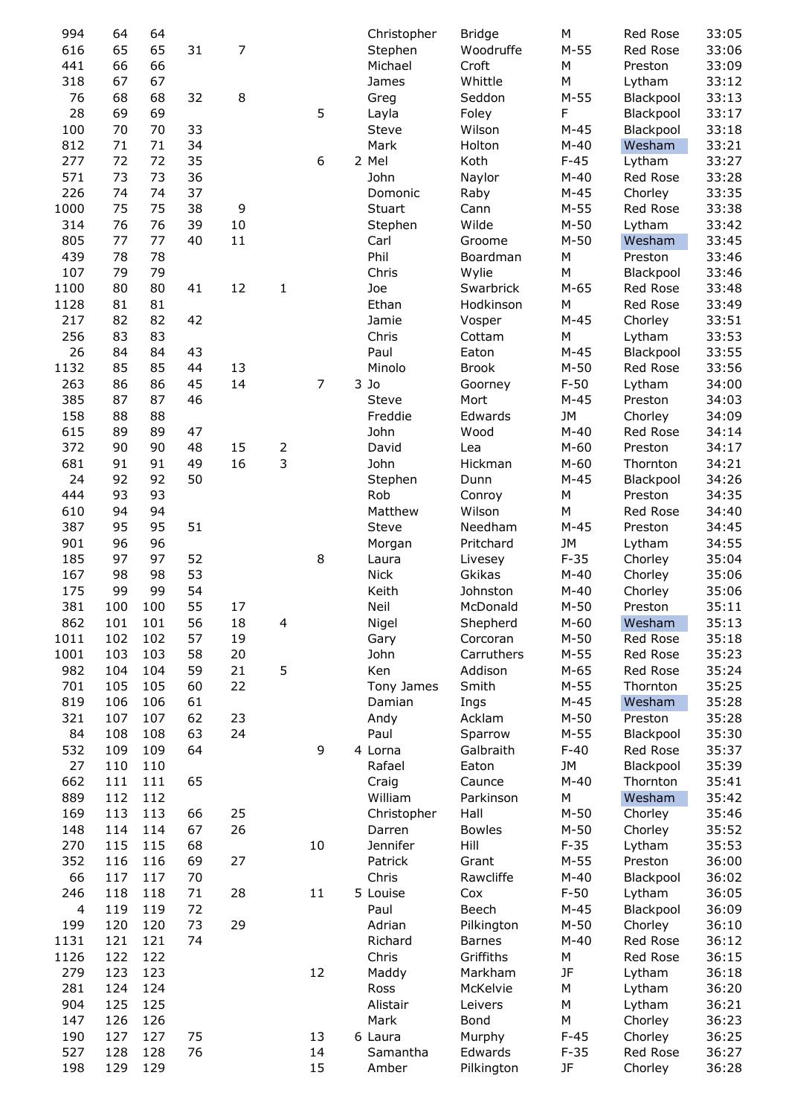| 994                      | 64  | 64  |    |        |   |    | Christopher  | <b>Bridge</b> | M         | Red Rose        | 33:05 |
|--------------------------|-----|-----|----|--------|---|----|--------------|---------------|-----------|-----------------|-------|
| 616                      | 65  | 65  | 31 | 7      |   |    | Stephen      | Woodruffe     | $M-55$    | Red Rose        | 33:06 |
| 441                      | 66  | 66  |    |        |   |    | Michael      | Croft         | M         | Preston         | 33:09 |
| 318                      | 67  | 67  |    |        |   |    | James        | Whittle       | M         | Lytham          | 33:12 |
| 76                       | 68  | 68  | 32 | 8      |   |    | Greg         | Seddon        | $M-55$    | Blackpool       | 33:13 |
|                          |     |     |    |        |   |    |              |               |           |                 |       |
| 28                       | 69  | 69  |    |        |   | 5  | Layla        | Foley         | F         | Blackpool       | 33:17 |
| 100                      | 70  | 70  | 33 |        |   |    | Steve        | Wilson        | $M-45$    | Blackpool       | 33:18 |
| 812                      | 71  | 71  | 34 |        |   |    | Mark         | Holton        | $M-40$    | Wesham          | 33:21 |
| 277                      | 72  | 72  | 35 |        |   | 6  | 2 Mel        | Koth          | $F-45$    | Lytham          | 33:27 |
| 571                      | 73  | 73  | 36 |        |   |    | John         | Naylor        | $M-40$    | Red Rose        | 33:28 |
| 226                      | 74  | 74  | 37 |        |   |    | Domonic      | Raby          | $M-45$    | Chorley         | 33:35 |
| 1000                     | 75  | 75  | 38 | 9      |   |    | Stuart       | Cann          | $M-55$    | Red Rose        | 33:38 |
| 314                      | 76  | 76  | 39 | $10\,$ |   |    | Stephen      | Wilde         | $M-50$    | Lytham          | 33:42 |
| 805                      | 77  | 77  | 40 | 11     |   |    | Carl         | Groome        | $M-50$    | Wesham          | 33:45 |
| 439                      | 78  | 78  |    |        |   |    | Phil         | Boardman      | M         | Preston         | 33:46 |
| 107                      | 79  | 79  |    |        |   |    | Chris        | Wylie         | ${\sf M}$ | Blackpool       | 33:46 |
|                          |     |     |    |        |   |    |              |               |           |                 |       |
| 1100                     | 80  | 80  | 41 | 12     | 1 |    | Joe          | Swarbrick     | $M-65$    | Red Rose        | 33:48 |
| 1128                     | 81  | 81  |    |        |   |    | Ethan        | Hodkinson     | M         | Red Rose        | 33:49 |
| 217                      | 82  | 82  | 42 |        |   |    | Jamie        | Vosper        | $M-45$    | Chorley         | 33:51 |
| 256                      | 83  | 83  |    |        |   |    | Chris        | Cottam        | M         | Lytham          | 33:53 |
| 26                       | 84  | 84  | 43 |        |   |    | Paul         | Eaton         | $M-45$    | Blackpool       | 33:55 |
| 1132                     | 85  | 85  | 44 | 13     |   |    | Minolo       | <b>Brook</b>  | $M-50$    | <b>Red Rose</b> | 33:56 |
| 263                      | 86  | 86  | 45 | 14     |   | 7  | $3$ Jo       | Goorney       | $F-50$    | Lytham          | 34:00 |
| 385                      | 87  | 87  | 46 |        |   |    | <b>Steve</b> | Mort          | $M-45$    | Preston         | 34:03 |
| 158                      | 88  | 88  |    |        |   |    | Freddie      | Edwards       | <b>JM</b> | Chorley         | 34:09 |
| 615                      | 89  | 89  | 47 |        |   |    | John         | Wood          | $M-40$    | Red Rose        | 34:14 |
| 372                      | 90  | 90  | 48 | 15     | 2 |    | David        | Lea           | $M-60$    | Preston         | 34:17 |
|                          | 91  | 91  |    | 16     | 3 |    | John         | Hickman       |           |                 |       |
| 681                      |     |     | 49 |        |   |    |              |               | $M-60$    | Thornton        | 34:21 |
| 24                       | 92  | 92  | 50 |        |   |    | Stephen      | Dunn          | $M-45$    | Blackpool       | 34:26 |
| 444                      | 93  | 93  |    |        |   |    | Rob          | Conroy        | M         | Preston         | 34:35 |
| 610                      | 94  | 94  |    |        |   |    | Matthew      | Wilson        | M         | Red Rose        | 34:40 |
| 387                      | 95  | 95  | 51 |        |   |    | <b>Steve</b> | Needham       | $M-45$    | Preston         | 34:45 |
| 901                      | 96  | 96  |    |        |   |    | Morgan       | Pritchard     | <b>JM</b> | Lytham          | 34:55 |
| 185                      | 97  | 97  | 52 |        |   | 8  | Laura        | Livesey       | $F-35$    | Chorley         | 35:04 |
| 167                      | 98  | 98  | 53 |        |   |    | <b>Nick</b>  | Gkikas        | $M-40$    | Chorley         | 35:06 |
| 175                      | 99  | 99  | 54 |        |   |    | Keith        | Johnston      | $M-40$    | Chorley         | 35:06 |
| 381                      | 100 | 100 | 55 | 17     |   |    | Neil         | McDonald      | $M-50$    | Preston         | 35:11 |
| 862                      | 101 | 101 | 56 | 18     |   |    | Nigel        | Shepherd      | $M-60$    | Wesham          | 35:13 |
|                          |     |     |    |        | 4 |    |              |               |           |                 |       |
| 1011                     | 102 | 102 | 57 | 19     |   |    | Gary         | Corcoran      | $M-50$    | Red Rose        | 35:18 |
| 1001                     | 103 | 103 | 58 | 20     |   |    | John         | Carruthers    | $M-55$    | Red Rose        | 35:23 |
| 982                      | 104 | 104 | 59 | 21     | 5 |    | Ken          | Addison       | $M-65$    | Red Rose        | 35:24 |
| 701                      | 105 | 105 | 60 | 22     |   |    | Tony James   | Smith         | $M-55$    | Thornton        | 35:25 |
| 819                      | 106 | 106 | 61 |        |   |    | Damian       | Ings          | $M-45$    | Wesham          | 35:28 |
| 321                      | 107 | 107 | 62 | 23     |   |    | Andy         | Acklam        | $M-50$    | Preston         | 35:28 |
| 84                       | 108 | 108 | 63 | 24     |   |    | Paul         | Sparrow       | $M-55$    | Blackpool       | 35:30 |
| 532                      | 109 | 109 | 64 |        |   | 9  | 4 Lorna      | Galbraith     | $F-40$    | Red Rose        | 35:37 |
| 27                       | 110 | 110 |    |        |   |    | Rafael       | Eaton         | <b>JM</b> | Blackpool       | 35:39 |
| 662                      | 111 | 111 | 65 |        |   |    | Craig        | Caunce        | $M-40$    | Thornton        | 35:41 |
| 889                      | 112 | 112 |    |        |   |    | William      | Parkinson     | M         | Wesham          | 35:42 |
| 169                      |     | 113 |    | 25     |   |    |              | Hall          | $M-50$    | Chorley         | 35:46 |
|                          | 113 |     | 66 |        |   |    | Christopher  |               |           |                 |       |
| 148                      | 114 | 114 | 67 | 26     |   |    | Darren       | <b>Bowles</b> | $M-50$    | Chorley         | 35:52 |
| 270                      | 115 | 115 | 68 |        |   | 10 | Jennifer     | Hill          | $F-35$    | Lytham          | 35:53 |
| 352                      | 116 | 116 | 69 | 27     |   |    | Patrick      | Grant         | $M-55$    | Preston         | 36:00 |
| 66                       | 117 | 117 | 70 |        |   |    | Chris        | Rawcliffe     | $M-40$    | Blackpool       | 36:02 |
| 246                      | 118 | 118 | 71 | 28     |   | 11 | 5 Louise     | Cox           | $F-50$    | Lytham          | 36:05 |
| $\overline{\mathcal{A}}$ | 119 | 119 | 72 |        |   |    | Paul         | Beech         | $M-45$    | Blackpool       | 36:09 |
| 199                      | 120 | 120 | 73 | 29     |   |    | Adrian       | Pilkington    | $M-50$    | Chorley         | 36:10 |
| 1131                     | 121 | 121 | 74 |        |   |    | Richard      | <b>Barnes</b> | $M-40$    | Red Rose        | 36:12 |
| 1126                     | 122 | 122 |    |        |   |    | Chris        | Griffiths     | M         | Red Rose        | 36:15 |
|                          |     |     |    |        |   |    |              |               |           |                 |       |
| 279                      | 123 | 123 |    |        |   | 12 | Maddy        | Markham       | JF        | Lytham          | 36:18 |
| 281                      | 124 | 124 |    |        |   |    | Ross         | McKelvie      | М         | Lytham          | 36:20 |
| 904                      | 125 | 125 |    |        |   |    | Alistair     | Leivers       | ${\sf M}$ | Lytham          | 36:21 |
| 147                      | 126 | 126 |    |        |   |    | Mark         | Bond          | M         | Chorley         | 36:23 |
| 190                      | 127 | 127 | 75 |        |   | 13 | 6 Laura      | Murphy        | $F-45$    | Chorley         | 36:25 |
| 527                      | 128 | 128 | 76 |        |   | 14 | Samantha     | Edwards       | $F-35$    | Red Rose        | 36:27 |
| 198                      | 129 | 129 |    |        |   | 15 | Amber        | Pilkington    | JF        | Chorley         | 36:28 |
|                          |     |     |    |        |   |    |              |               |           |                 |       |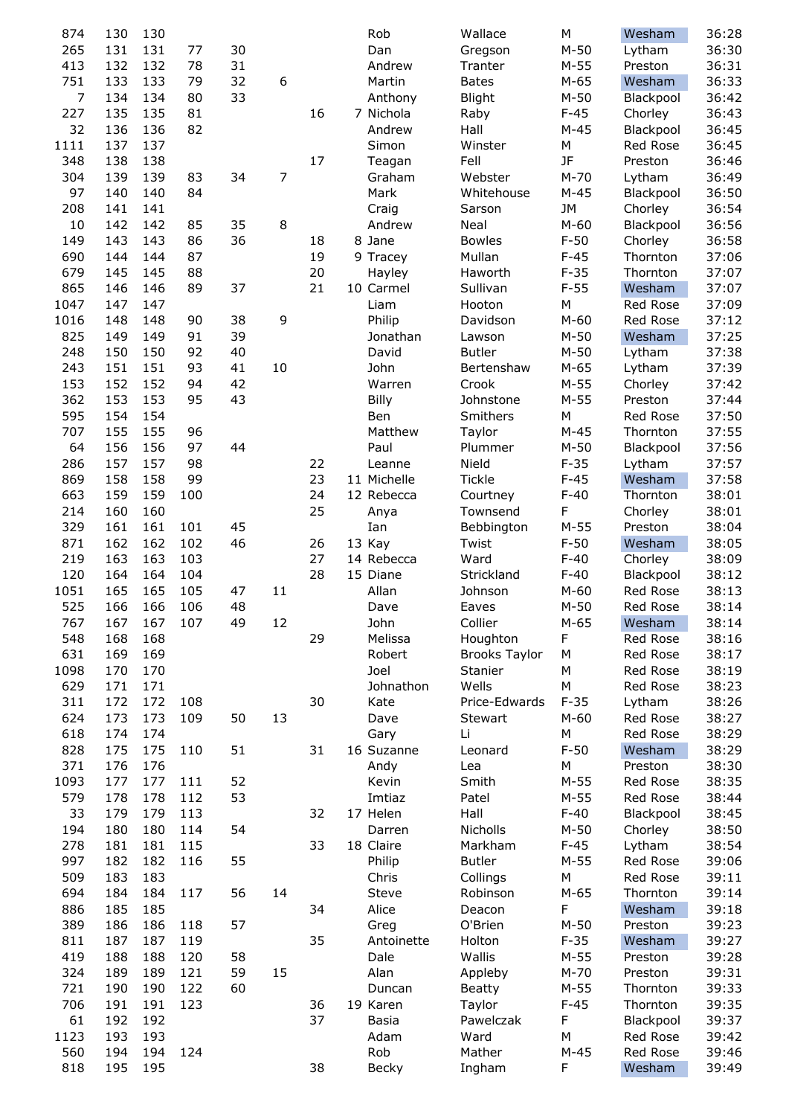| 874        | 130        | 130        |     |    |                |          | Rob         | Wallace              | M                | Wesham            | 36:28          |
|------------|------------|------------|-----|----|----------------|----------|-------------|----------------------|------------------|-------------------|----------------|
| 265        | 131        | 131        | 77  | 30 |                |          | Dan         | Gregson              | $M-50$           | Lytham            | 36:30          |
| 413        | 132        | 132        | 78  | 31 |                |          | Andrew      | Tranter              | $M-55$           | Preston           | 36:31          |
| 751        | 133        | 133        | 79  | 32 | 6              |          | Martin      | <b>Bates</b>         | $M-65$           | Wesham            | 36:33          |
| 7          | 134        | 134        | 80  | 33 |                |          | Anthony     | Blight               | $M-50$           | Blackpool         | 36:42          |
| 227        | 135        | 135        | 81  |    |                | 16       | 7 Nichola   | Raby                 | $F-45$           | Chorley           | 36:43          |
| 32         | 136        | 136        | 82  |    |                |          | Andrew      | Hall                 | $M-45$           | Blackpool         | 36:45          |
| 1111       | 137        | 137        |     |    |                |          | Simon       | Winster              | M                | Red Rose          | 36:45          |
| 348        | 138        | 138        |     |    |                | 17       | Teagan      | Fell                 | <b>JF</b>        | Preston           | 36:46          |
| 304        | 139        | 139        | 83  | 34 | $\overline{7}$ |          | Graham      | Webster              | $M-70$           | Lytham            | 36:49          |
| 97         | 140        | 140        | 84  |    |                |          | Mark        | Whitehouse           | $M-45$           | Blackpool         | 36:50          |
| 208        | 141        | 141        |     |    |                |          | Craig       | Sarson               | <b>JM</b>        | Chorley           | 36:54          |
| 10         | 142        | 142        | 85  | 35 | 8              |          | Andrew      | Neal                 | $M-60$           | Blackpool         | 36:56          |
| 149        | 143        | 143        | 86  | 36 |                | 18       | 8 Jane      | <b>Bowles</b>        | $F-50$           | Chorley           | 36:58          |
| 690        | 144        | 144        | 87  |    |                | 19       | 9 Tracey    | Mullan               | $F-45$           | Thornton          | 37:06          |
| 679        | 145        | 145        | 88  |    |                | 20       | Hayley      | Haworth              | $F-35$           | Thornton          | 37:07          |
| 865        | 146        | 146        | 89  | 37 |                | 21       | 10 Carmel   | Sullivan             | $F-55$           | Wesham            | 37:07          |
| 1047       | 147        | 147        |     |    |                |          | Liam        | Hooton               | M                | Red Rose          | 37:09          |
| 1016       | 148        | 148        | 90  | 38 | 9              |          | Philip      | Davidson             | $M-60$           | <b>Red Rose</b>   | 37:12          |
| 825        | 149        | 149        | 91  | 39 |                |          | Jonathan    | Lawson               | $M-50$           | Wesham            | 37:25          |
| 248        | 150        | 150        | 92  | 40 |                |          | David       | <b>Butler</b>        | $M-50$           | Lytham            | 37:38          |
| 243        | 151        | 151        | 93  | 41 | 10             |          | John        | Bertenshaw           | $M-65$           | Lytham            | 37:39          |
| 153        | 152        | 152        | 94  | 42 |                |          | Warren      | Crook                | $M-55$           | Chorley           | 37:42          |
| 362        | 153        | 153        | 95  | 43 |                |          | Billy       | Johnstone            | $M-55$           | Preston           | 37:44          |
| 595        | 154        | 154        |     |    |                |          | Ben         | Smithers             | M                | Red Rose          | 37:50          |
| 707        | 155        | 155        | 96  |    |                |          | Matthew     | Taylor               | $M-45$           | Thornton          | 37:55          |
| 64         | 156        | 156        | 97  | 44 |                |          | Paul        | Plummer              | $M-50$           | Blackpool         | 37:56          |
| 286        | 157        | 157        | 98  |    |                | 22       | Leanne      | Nield                | $F-35$           | Lytham            | 37:57          |
| 869        | 158        | 158        | 99  |    |                | 23       | 11 Michelle | Tickle               | $F-45$           | Wesham            | 37:58          |
| 663        | 159        | 159<br>160 | 100 |    |                | 24<br>25 | 12 Rebecca  | Courtney             | $F-40$           | Thornton          | 38:01          |
| 214        | 160<br>161 | 161        | 101 | 45 |                |          | Anya<br>Ian | Townsend             | F                | Chorley           | 38:01          |
| 329<br>871 | 162        | 162        | 102 | 46 |                | 26       | 13 Kay      | Bebbington           | $M-55$<br>$F-50$ | Preston<br>Wesham | 38:04<br>38:05 |
| 219        | 163        | 163        | 103 |    |                | 27       | 14 Rebecca  | Twist<br>Ward        | $F-40$           | Chorley           | 38:09          |
| 120        | 164        | 164        | 104 |    |                | 28       | 15 Diane    | Strickland           | $F-40$           | Blackpool         | 38:12          |
| 1051       | 165        | 165        | 105 | 47 | 11             |          | Allan       | Johnson              | $M-60$           | Red Rose          | 38:13          |
| 525        | 166        | 166        | 106 | 48 |                |          | Dave        | Eaves                | $M-50$           | Red Rose          | 38:14          |
| 767        | 167        | 167        | 107 | 49 | 12             |          | John        | Collier              | $M-65$           | Wesham            | 38:14          |
| 548        | 168        | 168        |     |    |                | 29       | Melissa     | Houghton             | F                | Red Rose          | 38:16          |
| 631        | 169        | 169        |     |    |                |          | Robert      | <b>Brooks Taylor</b> | M                | Red Rose          | 38:17          |
| 1098       | 170        | 170        |     |    |                |          | Joel        | Stanier              | M                | Red Rose          | 38:19          |
| 629        | 171        | 171        |     |    |                |          | Johnathon   | Wells                | M                | Red Rose          | 38:23          |
| 311        | 172        | 172        | 108 |    |                | 30       | Kate        | Price-Edwards        | $F-35$           | Lytham            | 38:26          |
| 624        | 173        | 173        | 109 | 50 | 13             |          | Dave        | Stewart              | $M-60$           | Red Rose          | 38:27          |
| 618        | 174        | 174        |     |    |                |          | Gary        | Li                   | M                | Red Rose          | 38:29          |
| 828        | 175        | 175        | 110 | 51 |                | 31       | 16 Suzanne  | Leonard              | $F-50$           | Wesham            | 38:29          |
| 371        | 176        | 176        |     |    |                |          | Andy        | Lea                  | М                | Preston           | 38:30          |
| 1093       | 177        | 177        | 111 | 52 |                |          | Kevin       | Smith                | $M-55$           | Red Rose          | 38:35          |
| 579        | 178        | 178        | 112 | 53 |                |          | Imtiaz      | Patel                | $M-55$           | Red Rose          | 38:44          |
| 33         | 179        | 179        | 113 |    |                | 32       | 17 Helen    | Hall                 | $F-40$           | Blackpool         | 38:45          |
| 194        | 180        | 180        | 114 | 54 |                |          | Darren      | Nicholls             | $M-50$           | Chorley           | 38:50          |
| 278        | 181        | 181        | 115 |    |                | 33       | 18 Claire   | Markham              | $F-45$           | Lytham            | 38:54          |
| 997        | 182        | 182        | 116 | 55 |                |          | Philip      | <b>Butler</b>        | $M-55$           | Red Rose          | 39:06          |
| 509        | 183        | 183        |     |    |                |          | Chris       | Collings             | М                | Red Rose          | 39:11          |
| 694        | 184        | 184        | 117 | 56 | 14             |          | Steve       | Robinson             | $M-65$           | Thornton          | 39:14          |
| 886        | 185        | 185        |     |    |                | 34       | Alice       | Deacon               | F                | Wesham            | 39:18          |
| 389        | 186        | 186        | 118 | 57 |                |          | Greg        | O'Brien              | $M-50$           | Preston           | 39:23          |
| 811        | 187        | 187        | 119 |    |                | 35       | Antoinette  | Holton               | $F-35$           | Wesham            | 39:27          |
| 419        | 188        | 188        | 120 | 58 |                |          | Dale        | Wallis               | $M-55$           | Preston           | 39:28          |
| 324        | 189        | 189        | 121 | 59 | 15             |          | Alan        | Appleby              | $M-70$           | Preston           | 39:31          |
| 721        | 190        | 190        | 122 | 60 |                |          | Duncan      | <b>Beatty</b>        | $M-55$           | Thornton          | 39:33          |
| 706        | 191        | 191        | 123 |    |                | 36       | 19 Karen    | Taylor               | $F-45$           | Thornton          | 39:35          |
| 61         | 192        | 192        |     |    |                | 37       | Basia       | Pawelczak            | F                | Blackpool         | 39:37          |
| 1123       | 193        | 193        |     |    |                |          | Adam        | Ward                 | М                | Red Rose          | 39:42          |
| 560        | 194        | 194        | 124 |    |                |          | Rob         | Mather               | $M-45$           | Red Rose          | 39:46          |
| 818        | 195        | 195        |     |    |                | 38       | Becky       | Ingham               | F                | Wesham            | 39:49          |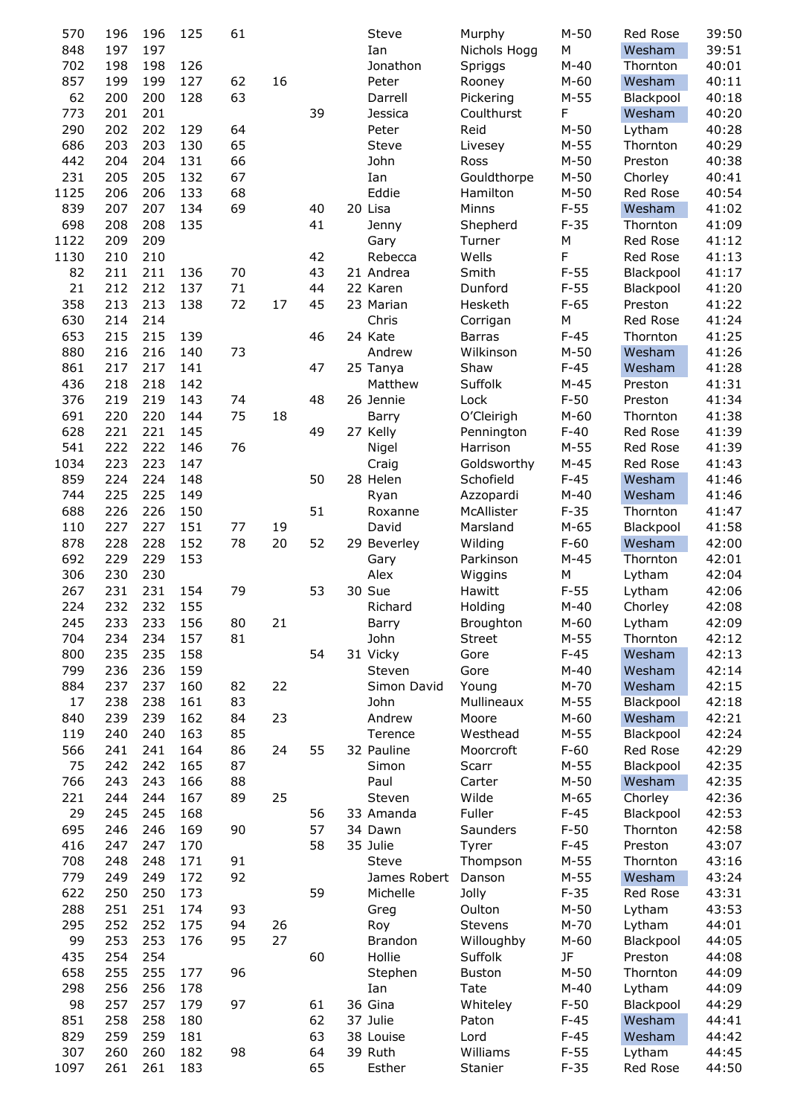| 570  | 196 | 196 | 125 | 61 |    |    | Steve          | Murphy        | $M-50$ | Red Rose  | 39:50 |
|------|-----|-----|-----|----|----|----|----------------|---------------|--------|-----------|-------|
| 848  | 197 | 197 |     |    |    |    | Ian            | Nichols Hogg  | M      | Wesham    | 39:51 |
| 702  | 198 | 198 | 126 |    |    |    | Jonathon       | Spriggs       | $M-40$ | Thornton  | 40:01 |
| 857  | 199 | 199 | 127 | 62 | 16 |    | Peter          | Rooney        | $M-60$ | Wesham    | 40:11 |
| 62   | 200 | 200 | 128 | 63 |    |    | Darrell        | Pickering     | $M-55$ | Blackpool | 40:18 |
| 773  | 201 | 201 |     |    |    | 39 | Jessica        | Coulthurst    | F      | Wesham    | 40:20 |
|      |     |     |     |    |    |    |                |               |        |           |       |
| 290  | 202 | 202 | 129 | 64 |    |    | Peter          | Reid          | $M-50$ | Lytham    | 40:28 |
| 686  | 203 | 203 | 130 | 65 |    |    | Steve          | Livesey       | $M-55$ | Thornton  | 40:29 |
| 442  | 204 | 204 | 131 | 66 |    |    | John           | Ross          | $M-50$ | Preston   | 40:38 |
| 231  | 205 | 205 | 132 | 67 |    |    | Ian            | Gouldthorpe   | $M-50$ | Chorley   | 40:41 |
| 1125 | 206 | 206 | 133 | 68 |    |    | Eddie          | Hamilton      | $M-50$ | Red Rose  | 40:54 |
| 839  | 207 | 207 | 134 | 69 |    | 40 | 20 Lisa        | Minns         | $F-55$ | Wesham    | 41:02 |
| 698  | 208 | 208 | 135 |    |    | 41 | Jenny          | Shepherd      | $F-35$ | Thornton  | 41:09 |
| 1122 | 209 | 209 |     |    |    |    | Gary           | Turner        | M      | Red Rose  | 41:12 |
| 1130 | 210 | 210 |     |    |    | 42 | Rebecca        | Wells         | F      | Red Rose  | 41:13 |
| 82   | 211 | 211 | 136 | 70 |    | 43 | 21 Andrea      | Smith         | $F-55$ | Blackpool | 41:17 |
|      |     |     |     |    |    |    |                |               |        |           |       |
| 21   | 212 | 212 | 137 | 71 |    | 44 | 22 Karen       | Dunford       | $F-55$ | Blackpool | 41:20 |
| 358  | 213 | 213 | 138 | 72 | 17 | 45 | 23 Marian      | Hesketh       | $F-65$ | Preston   | 41:22 |
| 630  | 214 | 214 |     |    |    |    | Chris          | Corrigan      | M      | Red Rose  | 41:24 |
| 653  | 215 | 215 | 139 |    |    | 46 | 24 Kate        | <b>Barras</b> | $F-45$ | Thornton  | 41:25 |
| 880  | 216 | 216 | 140 | 73 |    |    | Andrew         | Wilkinson     | $M-50$ | Wesham    | 41:26 |
| 861  | 217 | 217 | 141 |    |    | 47 | 25 Tanya       | Shaw          | $F-45$ | Wesham    | 41:28 |
| 436  | 218 | 218 | 142 |    |    |    | Matthew        | Suffolk       | $M-45$ | Preston   | 41:31 |
| 376  | 219 | 219 | 143 | 74 |    | 48 | 26 Jennie      | Lock          | $F-50$ | Preston   | 41:34 |
| 691  | 220 | 220 | 144 | 75 | 18 |    | Barry          | O'Cleirigh    | $M-60$ | Thornton  | 41:38 |
| 628  | 221 | 221 | 145 |    |    | 49 | 27 Kelly       | Pennington    | $F-40$ | Red Rose  | 41:39 |
| 541  | 222 | 222 | 146 | 76 |    |    | Nigel          | Harrison      | $M-55$ | Red Rose  | 41:39 |
|      |     |     |     |    |    |    |                |               |        |           |       |
| 1034 | 223 | 223 | 147 |    |    |    | Craig          | Goldsworthy   | $M-45$ | Red Rose  | 41:43 |
| 859  | 224 | 224 | 148 |    |    | 50 | 28 Helen       | Schofield     | $F-45$ | Wesham    | 41:46 |
| 744  | 225 | 225 | 149 |    |    |    | Ryan           | Azzopardi     | $M-40$ | Wesham    | 41:46 |
| 688  | 226 | 226 | 150 |    |    | 51 | Roxanne        | McAllister    | $F-35$ | Thornton  | 41:47 |
| 110  | 227 | 227 | 151 | 77 | 19 |    | David          | Marsland      | $M-65$ | Blackpool | 41:58 |
| 878  | 228 | 228 | 152 | 78 | 20 | 52 | 29 Beverley    | Wilding       | $F-60$ | Wesham    | 42:00 |
| 692  | 229 | 229 | 153 |    |    |    | Gary           | Parkinson     | $M-45$ | Thornton  | 42:01 |
| 306  | 230 | 230 |     |    |    |    | Alex           | Wiggins       | M      | Lytham    | 42:04 |
| 267  | 231 | 231 | 154 | 79 |    | 53 | 30 Sue         | Hawitt        | $F-55$ | Lytham    | 42:06 |
| 224  | 232 | 232 | 155 |    |    |    | Richard        | Holding       | $M-40$ | Chorley   | 42:08 |
| 245  | 233 | 233 | 156 | 80 | 21 |    | Barry          | Broughton     | $M-60$ | Lytham    | 42:09 |
| 704  | 234 | 234 | 157 | 81 |    |    | John           |               | $M-55$ |           | 42:12 |
|      |     |     |     |    |    |    |                | <b>Street</b> |        | Thornton  |       |
| 800  | 235 | 235 | 158 |    |    | 54 | 31 Vicky       | Gore          | $F-45$ | Wesham    | 42:13 |
| 799  | 236 | 236 | 159 |    |    |    | Steven         | Gore          | $M-40$ | Wesham    | 42:14 |
| 884  | 237 | 237 | 160 | 82 | 22 |    | Simon David    | Young         | $M-70$ | Wesham    | 42:15 |
| 17   | 238 | 238 | 161 | 83 |    |    | John           | Mullineaux    | $M-55$ | Blackpool | 42:18 |
| 840  | 239 | 239 | 162 | 84 | 23 |    | Andrew         | Moore         | $M-60$ | Wesham    | 42:21 |
| 119  | 240 | 240 | 163 | 85 |    |    | Terence        | Westhead      | $M-55$ | Blackpool | 42:24 |
| 566  | 241 | 241 | 164 | 86 | 24 | 55 | 32 Pauline     | Moorcroft     | $F-60$ | Red Rose  | 42:29 |
| 75   | 242 | 242 | 165 | 87 |    |    | Simon          | Scarr         | $M-55$ | Blackpool | 42:35 |
| 766  | 243 | 243 | 166 | 88 |    |    | Paul           | Carter        | $M-50$ | Wesham    | 42:35 |
| 221  | 244 | 244 | 167 | 89 | 25 |    | Steven         | Wilde         | $M-65$ | Chorley   | 42:36 |
| 29   | 245 | 245 | 168 |    |    | 56 | 33 Amanda      | Fuller        | $F-45$ | Blackpool | 42:53 |
|      |     |     |     | 90 |    | 57 | 34 Dawn        |               | $F-50$ |           |       |
| 695  | 246 | 246 | 169 |    |    |    |                | Saunders      |        | Thornton  | 42:58 |
| 416  | 247 | 247 | 170 |    |    | 58 | 35 Julie       | Tyrer         | $F-45$ | Preston   | 43:07 |
| 708  | 248 | 248 | 171 | 91 |    |    | Steve          | Thompson      | $M-55$ | Thornton  | 43:16 |
| 779  | 249 | 249 | 172 | 92 |    |    | James Robert   | Danson        | $M-55$ | Wesham    | 43:24 |
| 622  | 250 | 250 | 173 |    |    | 59 | Michelle       | Jolly         | $F-35$ | Red Rose  | 43:31 |
| 288  | 251 | 251 | 174 | 93 |    |    | Greg           | Oulton        | $M-50$ | Lytham    | 43:53 |
| 295  | 252 | 252 | 175 | 94 | 26 |    | Roy            | Stevens       | $M-70$ | Lytham    | 44:01 |
| 99   | 253 | 253 | 176 | 95 | 27 |    | <b>Brandon</b> | Willoughby    | $M-60$ | Blackpool | 44:05 |
| 435  | 254 | 254 |     |    |    | 60 | Hollie         | Suffolk       | JF     | Preston   | 44:08 |
| 658  | 255 | 255 | 177 | 96 |    |    | Stephen        | <b>Buston</b> | $M-50$ | Thornton  | 44:09 |
| 298  | 256 | 256 | 178 |    |    |    | Ian            | Tate          | $M-40$ | Lytham    | 44:09 |
|      |     |     |     |    |    |    |                |               |        |           |       |
| 98   | 257 | 257 | 179 | 97 |    | 61 | 36 Gina        | Whiteley      | $F-50$ | Blackpool | 44:29 |
| 851  | 258 | 258 | 180 |    |    | 62 | 37 Julie       | Paton         | $F-45$ | Wesham    | 44:41 |
| 829  | 259 | 259 | 181 |    |    | 63 | 38 Louise      | Lord          | $F-45$ | Wesham    | 44:42 |
| 307  | 260 | 260 | 182 | 98 |    | 64 | 39 Ruth        | Williams      | $F-55$ | Lytham    | 44:45 |
| 1097 | 261 | 261 | 183 |    |    | 65 | Esther         | Stanier       | $F-35$ | Red Rose  | 44:50 |